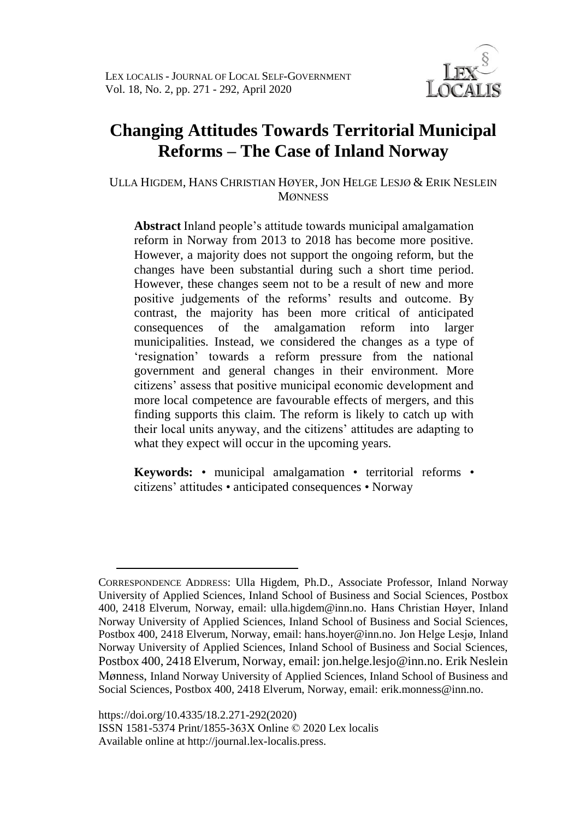

# **Changing Attitudes Towards Territorial Municipal Reforms – The Case of Inland Norway**

ULLA HIGDEM, HANS CHRISTIAN HØYER, JON HELGE LESJØ & ERIK NESLEIN **MØNNESS** 

**Abstract** Inland people's attitude towards municipal amalgamation reform in Norway from 2013 to 2018 has become more positive. However, a majority does not support the ongoing reform, but the changes have been substantial during such a short time period. However, these changes seem not to be a result of new and more positive judgements of the reforms' results and outcome. By contrast, the majority has been more critical of anticipated consequences of the amalgamation reform into larger municipalities. Instead, we considered the changes as a type of 'resignation' towards a reform pressure from the national government and general changes in their environment. More citizens' assess that positive municipal economic development and more local competence are favourable effects of mergers, and this finding supports this claim. The reform is likely to catch up with their local units anyway, and the citizens' attitudes are adapting to what they expect will occur in the upcoming years.

**Keywords:** • municipal amalgamation • territorial reforms • citizens' attitudes • anticipated consequences • Norway

<u>.</u>

CORRESPONDENCE ADDRESS: Ulla Higdem, Ph.D., Associate Professor, Inland Norway University of Applied Sciences, Inland School of Business and Social Sciences, Postbox 400, 2418 Elverum, Norway, email: ulla.higdem@inn.no. Hans Christian Høyer, Inland Norway University of Applied Sciences, Inland School of Business and Social Sciences, Postbox 400, 2418 Elverum, Norway, email: hans.hoyer@inn.no. Jon Helge Lesjø, Inland Norway University of Applied Sciences, Inland School of Business and Social Sciences, Postbox 400, 2418 Elverum, Norway, email: jon.helge.lesjo@inn.no. Erik Neslein Mønness, Inland Norway University of Applied Sciences, Inland School of Business and Social Sciences, Postbox 400, 2418 Elverum, Norway, email: erik.monness@inn.no.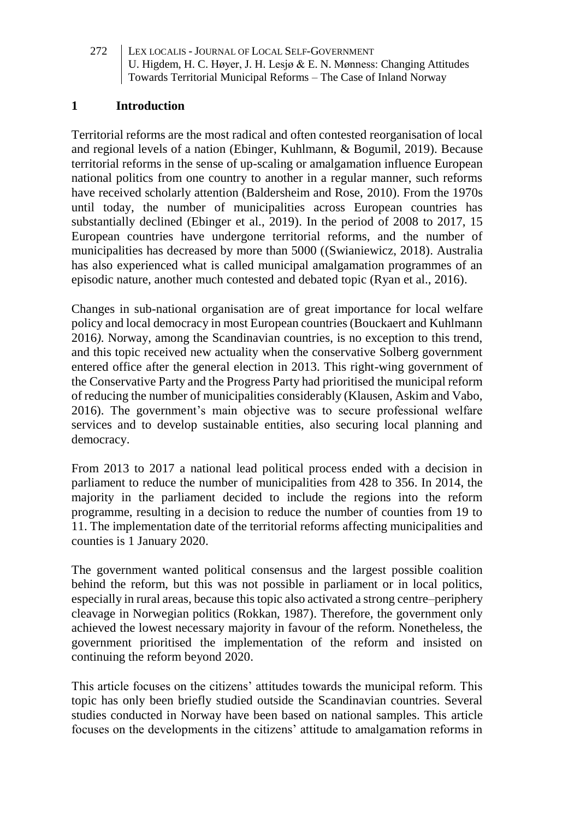#### **1 Introduction**

Territorial reforms are the most radical and often contested reorganisation of local and regional levels of a nation (Ebinger, Kuhlmann, & Bogumil, 2019). Because territorial reforms in the sense of up-scaling or amalgamation influence European national politics from one country to another in a regular manner, such reforms have received scholarly attention (Baldersheim and Rose, 2010). From the 1970s until today, the number of municipalities across European countries has substantially declined (Ebinger et al., 2019). In the period of 2008 to 2017, 15 European countries have undergone territorial reforms, and the number of municipalities has decreased by more than 5000 ((Swianiewicz, 2018). Australia has also experienced what is called municipal amalgamation programmes of an episodic nature, another much contested and debated topic (Ryan et al., 2016).

Changes in sub-national organisation are of great importance for local welfare policy and local democracy in most European countries (Bouckaert and Kuhlmann 2016*)*. Norway, among the Scandinavian countries, is no exception to this trend, and this topic received new actuality when the conservative Solberg government entered office after the general election in 2013. This right-wing government of the Conservative Party and the Progress Party had prioritised the municipal reform of reducing the number of municipalities considerably (Klausen, Askim and Vabo, 2016). The government's main objective was to secure professional welfare services and to develop sustainable entities, also securing local planning and democracy.

From 2013 to 2017 a national lead political process ended with a decision in parliament to reduce the number of municipalities from 428 to 356. In 2014, the majority in the parliament decided to include the regions into the reform programme, resulting in a decision to reduce the number of counties from 19 to 11. The implementation date of the territorial reforms affecting municipalities and counties is 1 January 2020.

The government wanted political consensus and the largest possible coalition behind the reform, but this was not possible in parliament or in local politics, especially in rural areas, because this topic also activated a strong centre–periphery cleavage in Norwegian politics (Rokkan, 1987). Therefore, the government only achieved the lowest necessary majority in favour of the reform. Nonetheless, the government prioritised the implementation of the reform and insisted on continuing the reform beyond 2020.

This article focuses on the citizens' attitudes towards the municipal reform. This topic has only been briefly studied outside the Scandinavian countries. Several studies conducted in Norway have been based on national samples. This article focuses on the developments in the citizens' attitude to amalgamation reforms in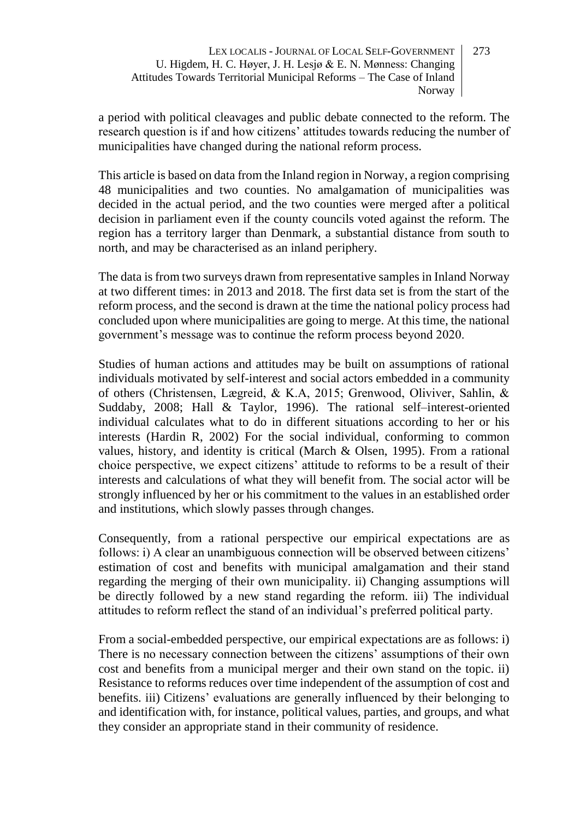a period with political cleavages and public debate connected to the reform. The research question is if and how citizens' attitudes towards reducing the number of municipalities have changed during the national reform process.

This article is based on data from the Inland region in Norway, a region comprising 48 municipalities and two counties. No amalgamation of municipalities was decided in the actual period, and the two counties were merged after a political decision in parliament even if the county councils voted against the reform. The region has a territory larger than Denmark, a substantial distance from south to north, and may be characterised as an inland periphery.

The data is from two surveys drawn from representative samples in Inland Norway at two different times: in 2013 and 2018. The first data set is from the start of the reform process, and the second is drawn at the time the national policy process had concluded upon where municipalities are going to merge. At this time, the national government's message was to continue the reform process beyond 2020.

Studies of human actions and attitudes may be built on assumptions of rational individuals motivated by self-interest and social actors embedded in a community of others (Christensen, Lægreid, & K.A, 2015; Grenwood, Oliviver, Sahlin, & Suddaby, 2008; Hall & Taylor, 1996). The rational self–interest-oriented individual calculates what to do in different situations according to her or his interests (Hardin R, 2002) For the social individual, conforming to common values, history, and identity is critical (March & Olsen, 1995). From a rational choice perspective, we expect citizens' attitude to reforms to be a result of their interests and calculations of what they will benefit from. The social actor will be strongly influenced by her or his commitment to the values in an established order and institutions, which slowly passes through changes.

Consequently, from a rational perspective our empirical expectations are as follows: i) A clear an unambiguous connection will be observed between citizens' estimation of cost and benefits with municipal amalgamation and their stand regarding the merging of their own municipality. ii) Changing assumptions will be directly followed by a new stand regarding the reform. iii) The individual attitudes to reform reflect the stand of an individual's preferred political party.

From a social-embedded perspective, our empirical expectations are as follows: i) There is no necessary connection between the citizens' assumptions of their own cost and benefits from a municipal merger and their own stand on the topic. ii) Resistance to reforms reduces over time independent of the assumption of cost and benefits. iii) Citizens' evaluations are generally influenced by their belonging to and identification with, for instance, political values, parties, and groups, and what they consider an appropriate stand in their community of residence.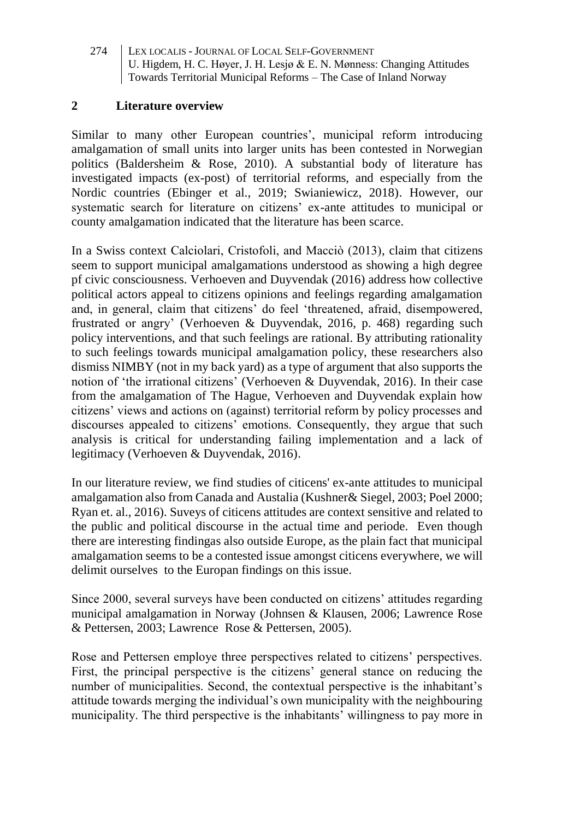#### **2 Literature overview**

Similar to many other European countries', municipal reform introducing amalgamation of small units into larger units has been contested in Norwegian politics (Baldersheim & Rose, 2010). A substantial body of literature has investigated impacts (ex-post) of territorial reforms, and especially from the Nordic countries (Ebinger et al., 2019; Swianiewicz, 2018). However, our systematic search for literature on citizens' ex-ante attitudes to municipal or county amalgamation indicated that the literature has been scarce.

In a Swiss context Calciolari, Cristofoli, and Macciò (2013), claim that citizens seem to support municipal amalgamations understood as showing a high degree pf civic consciousness. Verhoeven and Duyvendak (2016) address how collective political actors appeal to citizens opinions and feelings regarding amalgamation and, in general, claim that citizens' do feel 'threatened, afraid, disempowered, frustrated or angry' (Verhoeven & Duyvendak, 2016, p. 468) regarding such policy interventions, and that such feelings are rational. By attributing rationality to such feelings towards municipal amalgamation policy, these researchers also dismiss NIMBY (not in my back yard) as a type of argument that also supports the notion of 'the irrational citizens' (Verhoeven & Duyvendak, 2016). In their case from the amalgamation of The Hague, Verhoeven and Duyvendak explain how citizens' views and actions on (against) territorial reform by policy processes and discourses appealed to citizens' emotions. Consequently, they argue that such analysis is critical for understanding failing implementation and a lack of legitimacy (Verhoeven & Duyvendak, 2016).

In our literature review, we find studies of citicens' ex-ante attitudes to municipal amalgamation also from Canada and Austalia (Kushner& Siegel, 2003; Poel 2000; Ryan et. al., 2016). Suveys of citicens attitudes are context sensitive and related to the public and political discourse in the actual time and periode. Even though there are interesting findingas also outside Europe, as the plain fact that municipal amalgamation seems to be a contested issue amongst citicens everywhere, we will delimit ourselves to the Europan findings on this issue.

Since 2000, several surveys have been conducted on citizens' attitudes regarding municipal amalgamation in Norway (Johnsen & Klausen, 2006; Lawrence Rose & Pettersen, 2003; Lawrence Rose & Pettersen, 2005).

Rose and Pettersen employe three perspectives related to citizens' perspectives. First, the principal perspective is the citizens' general stance on reducing the number of municipalities. Second, the contextual perspective is the inhabitant's attitude towards merging the individual's own municipality with the neighbouring municipality. The third perspective is the inhabitants' willingness to pay more in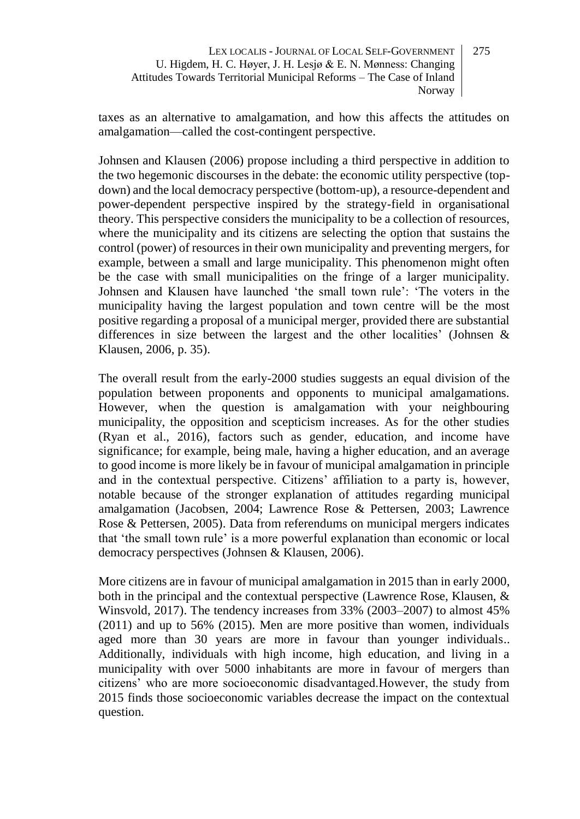taxes as an alternative to amalgamation, and how this affects the attitudes on amalgamation—called the cost-contingent perspective.

Johnsen and Klausen (2006) propose including a third perspective in addition to the two hegemonic discourses in the debate: the economic utility perspective (topdown) and the local democracy perspective (bottom-up), a resource-dependent and power-dependent perspective inspired by the strategy-field in organisational theory. This perspective considers the municipality to be a collection of resources, where the municipality and its citizens are selecting the option that sustains the control (power) of resources in their own municipality and preventing mergers, for example, between a small and large municipality. This phenomenon might often be the case with small municipalities on the fringe of a larger municipality. Johnsen and Klausen have launched 'the small town rule': 'The voters in the municipality having the largest population and town centre will be the most positive regarding a proposal of a municipal merger, provided there are substantial differences in size between the largest and the other localities' (Johnsen & Klausen, 2006, p. 35).

The overall result from the early-2000 studies suggests an equal division of the population between proponents and opponents to municipal amalgamations. However, when the question is amalgamation with your neighbouring municipality, the opposition and scepticism increases. As for the other studies (Ryan et al., 2016), factors such as gender, education, and income have significance; for example, being male, having a higher education, and an average to good income is more likely be in favour of municipal amalgamation in principle and in the contextual perspective. Citizens' affiliation to a party is, however, notable because of the stronger explanation of attitudes regarding municipal amalgamation (Jacobsen, 2004; Lawrence Rose & Pettersen, 2003; Lawrence Rose & Pettersen, 2005). Data from referendums on municipal mergers indicates that 'the small town rule' is a more powerful explanation than economic or local democracy perspectives (Johnsen & Klausen, 2006).

More citizens are in favour of municipal amalgamation in 2015 than in early 2000, both in the principal and the contextual perspective (Lawrence Rose, Klausen, & Winsvold, 2017). The tendency increases from 33% (2003–2007) to almost 45% (2011) and up to 56% (2015). Men are more positive than women, individuals aged more than 30 years are more in favour than younger individuals.. Additionally, individuals with high income, high education, and living in a municipality with over 5000 inhabitants are more in favour of mergers than citizens' who are more socioeconomic disadvantaged.However, the study from 2015 finds those socioeconomic variables decrease the impact on the contextual question.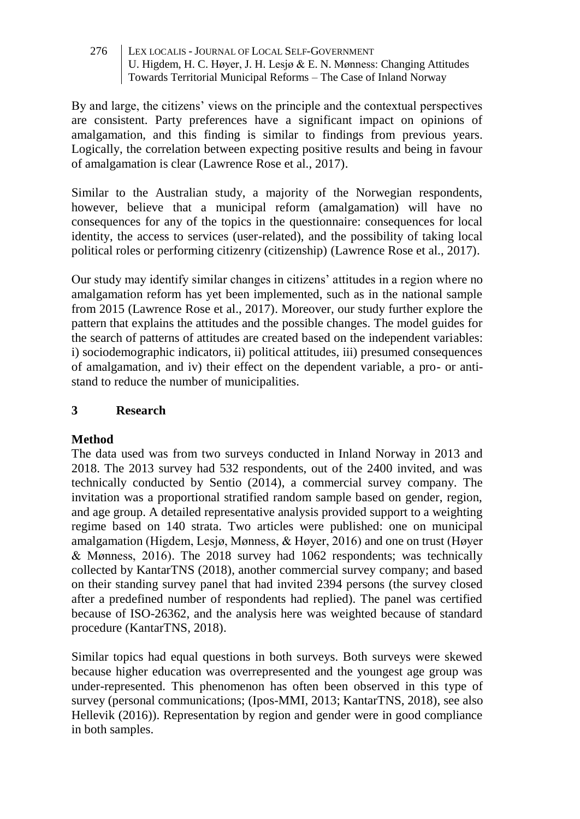By and large, the citizens' views on the principle and the contextual perspectives are consistent. Party preferences have a significant impact on opinions of amalgamation, and this finding is similar to findings from previous years. Logically, the correlation between expecting positive results and being in favour of amalgamation is clear (Lawrence Rose et al., 2017).

Similar to the Australian study, a majority of the Norwegian respondents, however, believe that a municipal reform (amalgamation) will have no consequences for any of the topics in the questionnaire: consequences for local identity, the access to services (user-related), and the possibility of taking local political roles or performing citizenry (citizenship) (Lawrence Rose et al., 2017).

Our study may identify similar changes in citizens' attitudes in a region where no amalgamation reform has yet been implemented, such as in the national sample from 2015 (Lawrence Rose et al., 2017). Moreover, our study further explore the pattern that explains the attitudes and the possible changes. The model guides for the search of patterns of attitudes are created based on the independent variables: i) sociodemographic indicators, ii) political attitudes, iii) presumed consequences of amalgamation, and iv) their effect on the dependent variable, a pro- or antistand to reduce the number of municipalities.

# **3 Research**

# **Method**

The data used was from two surveys conducted in Inland Norway in 2013 and 2018. The 2013 survey had 532 respondents, out of the 2400 invited, and was technically conducted by Sentio (2014), a commercial survey company. The invitation was a proportional stratified random sample based on gender, region, and age group. A detailed representative analysis provided support to a weighting regime based on 140 strata. Two articles were published: one on municipal amalgamation (Higdem, Lesjø, Mønness, & Høyer, 2016) and one on trust (Høyer & Mønness, 2016). The 2018 survey had 1062 respondents; was technically collected by KantarTNS (2018), another commercial survey company; and based on their standing survey panel that had invited 2394 persons (the survey closed after a predefined number of respondents had replied). The panel was certified because of ISO-26362, and the analysis here was weighted because of standard procedure (KantarTNS, 2018).

Similar topics had equal questions in both surveys. Both surveys were skewed because higher education was overrepresented and the youngest age group was under-represented. This phenomenon has often been observed in this type of survey (personal communications; (Ipos-MMI, 2013; KantarTNS, 2018), see also Hellevik (2016)). Representation by region and gender were in good compliance in both samples.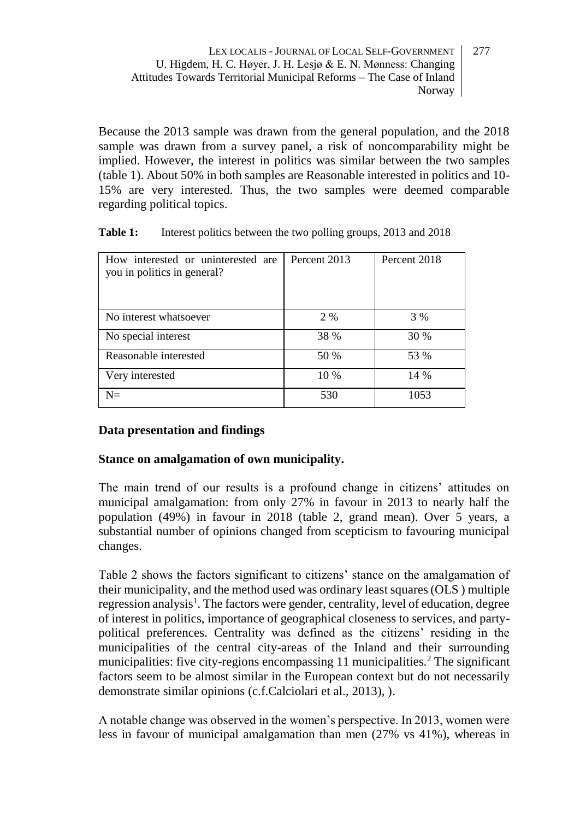Because the 2013 sample was drawn from the general population, and the 2018 sample was drawn from a survey panel, a risk of noncomparability might be implied. However, the interest in politics was similar between the two samples (table 1). About 50% in both samples are Reasonable interested in politics and 10- 15% are very interested. Thus, the two samples were deemed comparable regarding political topics.

| How interested or uninterested are<br>you in politics in general? | Percent 2013 | Percent 2018 |
|-------------------------------------------------------------------|--------------|--------------|
| No interest whatsoever                                            | 2 %          | 3 %          |
| No special interest                                               | 38 %         | 30 %         |
| Reasonable interested                                             | 50 %         | 53 %         |
| Very interested                                                   | 10 %         | 14 %         |
| $N =$                                                             | 530          | 1053         |

**Table 1:** Interest politics between the two polling groups, 2013 and 2018

# **Data presentation and findings**

# **Stance on amalgamation of own municipality.**

The main trend of our results is a profound change in citizens' attitudes on municipal amalgamation: from only 27% in favour in 2013 to nearly half the population (49%) in favour in 2018 (table 2, grand mean). Over 5 years, a substantial number of opinions changed from scepticism to favouring municipal changes.

Table 2 shows the factors significant to citizens' stance on the amalgamation of their municipality, and the method used was ordinary least squares (OLS ) multiple regression analysis<sup>1</sup>. The factors were gender, centrality, level of education, degree of interest in politics, importance of geographical closeness to services, and partypolitical preferences. Centrality was defined as the citizens' residing in the municipalities of the central city-areas of the Inland and their surrounding municipalities: five city-regions encompassing 11 municipalities.<sup>2</sup> The significant factors seem to be almost similar in the European context but do not necessarily demonstrate similar opinions (c.f.Calciolari et al., 2013), ).

A notable change was observed in the women's perspective. In 2013, women were less in favour of municipal amalgamation than men (27% vs 41%), whereas in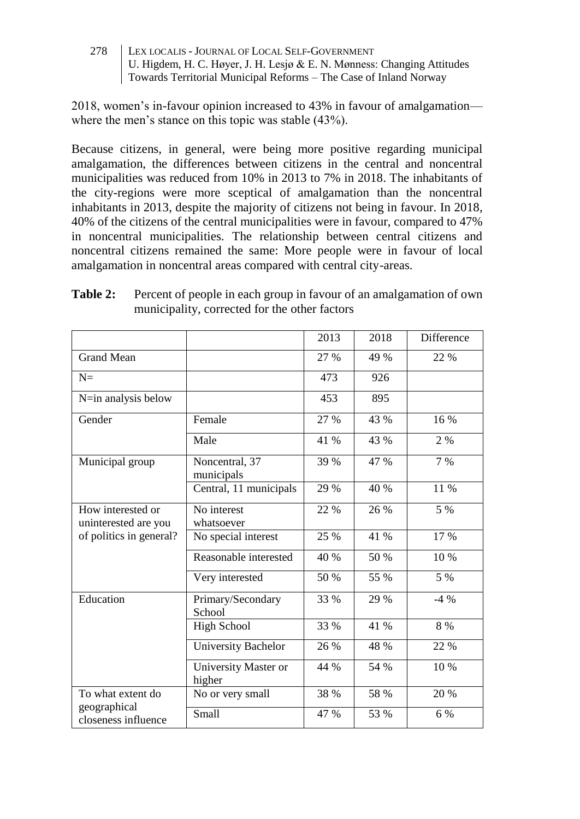2018, women's in-favour opinion increased to 43% in favour of amalgamation where the men's stance on this topic was stable (43%).

Because citizens, in general, were being more positive regarding municipal amalgamation, the differences between citizens in the central and noncentral municipalities was reduced from 10% in 2013 to 7% in 2018. The inhabitants of the city-regions were more sceptical of amalgamation than the noncentral inhabitants in 2013, despite the majority of citizens not being in favour. In 2018, 40% of the citizens of the central municipalities were in favour, compared to 47% in noncentral municipalities. The relationship between central citizens and noncentral citizens remained the same: More people were in favour of local amalgamation in noncentral areas compared with central city-areas.

|                                           |                                           | 2013 | 2018 | <b>Difference</b> |
|-------------------------------------------|-------------------------------------------|------|------|-------------------|
| <b>Grand Mean</b>                         |                                           | 27 % | 49 % | 22 %              |
| $N =$                                     |                                           | 473  | 926  |                   |
| N=in analysis below                       |                                           | 453  | 895  |                   |
| Gender                                    | Female                                    | 27 % | 43 % | 16 %              |
|                                           | Male                                      | 41 % | 43 % | 2%                |
| Municipal group                           | Noncentral, $\overline{37}$<br>municipals | 39 % | 47 % | $7\%$             |
|                                           | Central, 11 municipals                    | 29 % | 40 % | 11 %              |
| How interested or<br>uninterested are you | No interest<br>whatsoever                 | 22 % | 26 % | $5\%$             |
| of politics in general?                   | No special interest                       | 25 % | 41 % | 17 %              |
|                                           | Reasonable interested                     | 40 % | 50 % | 10 %              |
|                                           | Very interested                           | 50 % | 55 % | 5 %               |
| Education                                 | Primary/Secondary<br>School               | 33 % | 29 % | $-4\%$            |
|                                           | <b>High School</b>                        | 33 % | 41 % | 8 %               |
|                                           | University Bachelor                       | 26 % | 48 % | 22 %              |
|                                           | University Master or<br>higher            | 44 % | 54 % | 10 %              |
| To what extent do                         | No or very small                          | 38 % | 58 % | 20 %              |
| geographical<br>closeness influence       | Small                                     | 47 % | 53 % | 6 %               |

**Table 2:** Percent of people in each group in favour of an amalgamation of own municipality, corrected for the other factors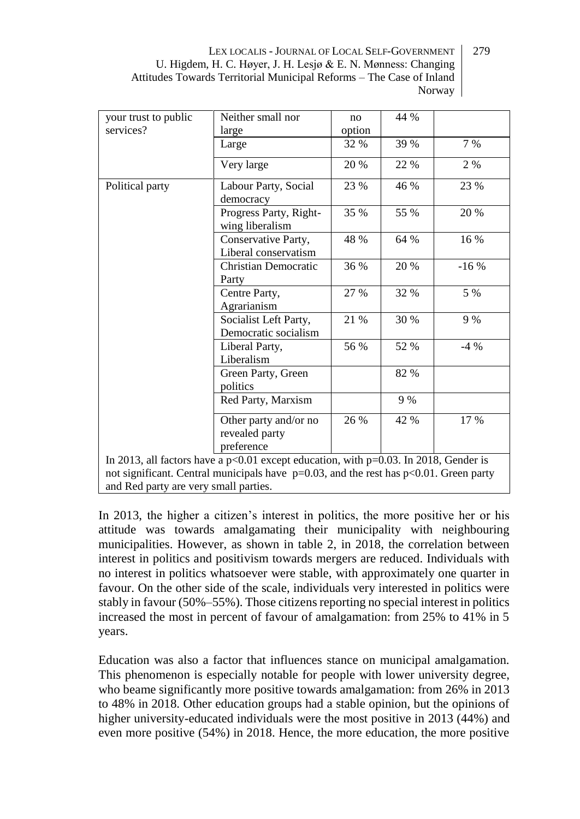| your trust to public                  | Neither small nor                                                                                                                                                                        | no     | 44 % |        |
|---------------------------------------|------------------------------------------------------------------------------------------------------------------------------------------------------------------------------------------|--------|------|--------|
| services?                             | large                                                                                                                                                                                    | option |      |        |
|                                       | Large                                                                                                                                                                                    | 32 %   | 39 % | 7%     |
|                                       | Very large                                                                                                                                                                               | 20 %   | 22 % | 2%     |
| Political party                       | Labour Party, Social<br>democracy                                                                                                                                                        | 23 %   | 46 % | 23 %   |
|                                       | Progress Party, Right-<br>wing liberalism                                                                                                                                                | 35 %   | 55 % | 20 %   |
|                                       | Conservative Party,<br>Liberal conservatism                                                                                                                                              | 48 %   | 64 % | 16 %   |
|                                       | Christian Democratic<br>Party                                                                                                                                                            | 36 %   | 20 % | $-16%$ |
|                                       | Centre Party,<br>Agrarianism                                                                                                                                                             | 27 %   | 32 % | 5 %    |
|                                       | Socialist Left Party,<br>Democratic socialism                                                                                                                                            | 21 %   | 30 % | 9%     |
|                                       | Liberal Party,<br>Liberalism                                                                                                                                                             | 56 %   | 52 % | $-4\%$ |
|                                       | Green Party, Green<br>politics                                                                                                                                                           |        | 82 % |        |
|                                       | Red Party, Marxism                                                                                                                                                                       |        | 9 %  |        |
|                                       | Other party and/or no<br>revealed party<br>preference                                                                                                                                    | 26 %   | 42 % | 17 %   |
| and Red party are very small parties. | In 2013, all factors have a $p<0.01$ except education, with $p=0.03$ . In 2018, Gender is<br>not significant. Central municipals have $p=0.03$ , and the rest has $p<0.01$ . Green party |        |      |        |

In 2013, the higher a citizen's interest in politics, the more positive her or his attitude was towards amalgamating their municipality with neighbouring municipalities. However, as shown in table 2, in 2018, the correlation between interest in politics and positivism towards mergers are reduced. Individuals with no interest in politics whatsoever were stable, with approximately one quarter in favour. On the other side of the scale, individuals very interested in politics were stably in favour (50%–55%). Those citizens reporting no special interest in politics increased the most in percent of favour of amalgamation: from 25% to 41% in 5 years.

Education was also a factor that influences stance on municipal amalgamation. This phenomenon is especially notable for people with lower university degree, who beame significantly more positive towards amalgamation: from 26% in 2013 to 48% in 2018. Other education groups had a stable opinion, but the opinions of higher university-educated individuals were the most positive in 2013 (44%) and even more positive (54%) in 2018. Hence, the more education, the more positive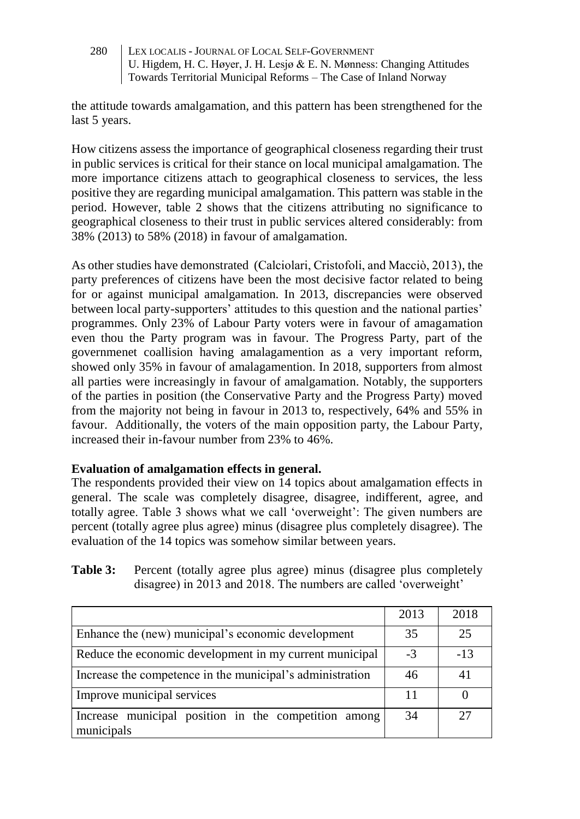the attitude towards amalgamation, and this pattern has been strengthened for the last 5 years.

How citizens assess the importance of geographical closeness regarding their trust in public services is critical for their stance on local municipal amalgamation. The more importance citizens attach to geographical closeness to services, the less positive they are regarding municipal amalgamation. This pattern was stable in the period. However, table 2 shows that the citizens attributing no significance to geographical closeness to their trust in public services altered considerably: from 38% (2013) to 58% (2018) in favour of amalgamation.

As other studies have demonstrated (Calciolari, Cristofoli, and Macciò, 2013), the party preferences of citizens have been the most decisive factor related to being for or against municipal amalgamation. In 2013, discrepancies were observed between local party-supporters' attitudes to this question and the national parties' programmes. Only 23% of Labour Party voters were in favour of amagamation even thou the Party program was in favour. The Progress Party, part of the governmenet coallision having amalagamention as a very important reform, showed only 35% in favour of amalagamention. In 2018, supporters from almost all parties were increasingly in favour of amalgamation. Notably, the supporters of the parties in position (the Conservative Party and the Progress Party) moved from the majority not being in favour in 2013 to, respectively, 64% and 55% in favour. Additionally, the voters of the main opposition party, the Labour Party, increased their in-favour number from 23% to 46%.

# **Evaluation of amalgamation effects in general.**

The respondents provided their view on 14 topics about amalgamation effects in general. The scale was completely disagree, disagree, indifferent, agree, and totally agree. Table 3 shows what we call 'overweight': The given numbers are percent (totally agree plus agree) minus (disagree plus completely disagree). The evaluation of the 14 topics was somehow similar between years.

| <b>Table 3:</b> Percent (totally agree plus agree) minus (disagree plus completely |
|------------------------------------------------------------------------------------|
| disagree) in 2013 and 2018. The numbers are called 'overweight'                    |

|                                                                    | 2013 | 2018  |
|--------------------------------------------------------------------|------|-------|
| Enhance the (new) municipal's economic development                 | 35   | 25    |
| Reduce the economic development in my current municipal            |      | $-13$ |
| Increase the competence in the municipal's administration          |      | 41    |
| Improve municipal services                                         | 11   |       |
| Increase municipal position in the competition among<br>municipals | 34   | 27    |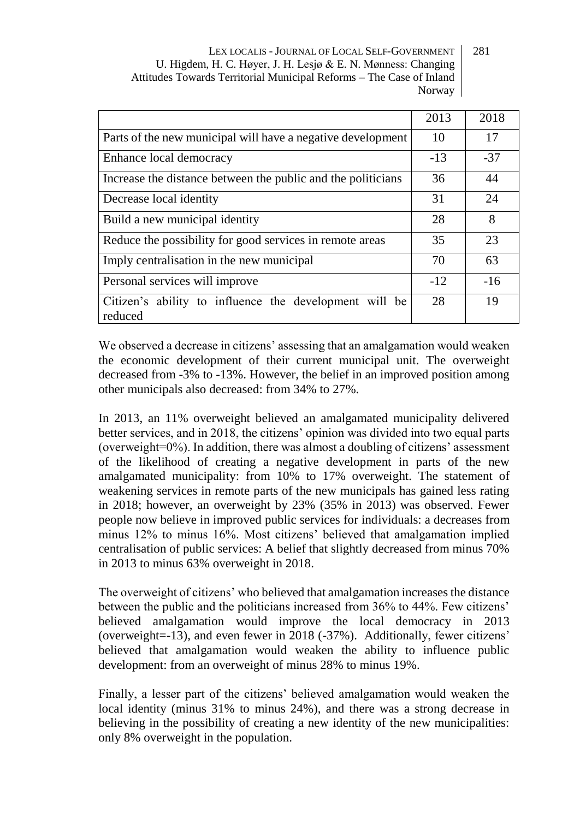|                                                                   | 2013  | 2018  |
|-------------------------------------------------------------------|-------|-------|
| Parts of the new municipal will have a negative development       | 10    | 17    |
| Enhance local democracy                                           | $-13$ | $-37$ |
| Increase the distance between the public and the politicians      | 36    | 44    |
| Decrease local identity                                           | 31    | 24    |
| Build a new municipal identity                                    | 28    | 8     |
| Reduce the possibility for good services in remote areas          | 35    | 23    |
| Imply centralisation in the new municipal                         | 70    | 63    |
| Personal services will improve                                    | $-12$ | $-16$ |
| Citizen's ability to influence the development will be<br>reduced | 28    | 19    |

We observed a decrease in citizens' assessing that an amalgamation would weaken the economic development of their current municipal unit. The overweight decreased from -3% to -13%. However, the belief in an improved position among other municipals also decreased: from 34% to 27%.

In 2013, an 11% overweight believed an amalgamated municipality delivered better services, and in 2018, the citizens' opinion was divided into two equal parts (overweight=0%). In addition, there was almost a doubling of citizens' assessment of the likelihood of creating a negative development in parts of the new amalgamated municipality: from 10% to 17% overweight. The statement of weakening services in remote parts of the new municipals has gained less rating in 2018; however, an overweight by 23% (35% in 2013) was observed. Fewer people now believe in improved public services for individuals: a decreases from minus 12% to minus 16%. Most citizens' believed that amalgamation implied centralisation of public services: A belief that slightly decreased from minus 70% in 2013 to minus 63% overweight in 2018.

The overweight of citizens' who believed that amalgamation increases the distance between the public and the politicians increased from 36% to 44%. Few citizens' believed amalgamation would improve the local democracy in 2013 (overweight=-13), and even fewer in 2018 (-37%). Additionally, fewer citizens' believed that amalgamation would weaken the ability to influence public development: from an overweight of minus 28% to minus 19%.

Finally, a lesser part of the citizens' believed amalgamation would weaken the local identity (minus 31% to minus 24%), and there was a strong decrease in believing in the possibility of creating a new identity of the new municipalities: only 8% overweight in the population.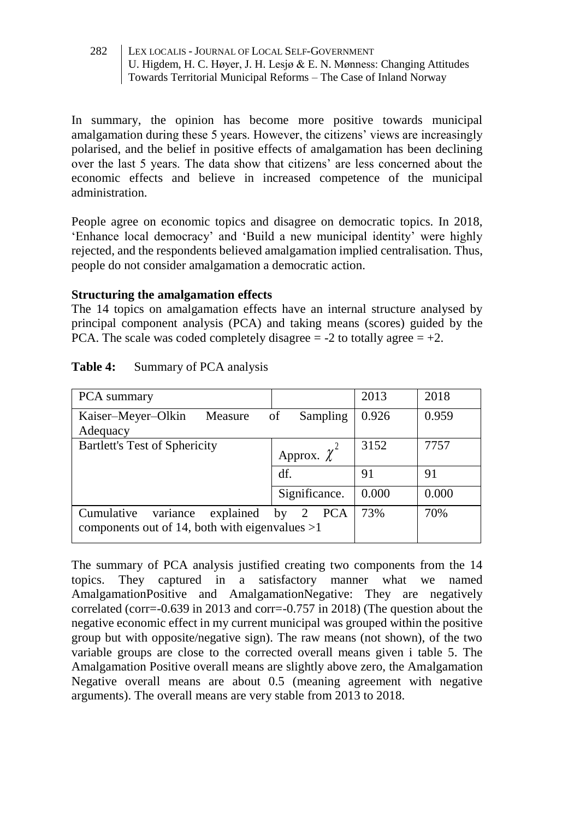In summary, the opinion has become more positive towards municipal amalgamation during these 5 years. However, the citizens' views are increasingly polarised, and the belief in positive effects of amalgamation has been declining over the last 5 years. The data show that citizens' are less concerned about the economic effects and believe in increased competence of the municipal administration.

People agree on economic topics and disagree on democratic topics. In 2018, 'Enhance local democracy' and 'Build a new municipal identity' were highly rejected, and the respondents believed amalgamation implied centralisation. Thus, people do not consider amalgamation a democratic action.

#### **Structuring the amalgamation effects**

The 14 topics on amalgamation effects have an internal structure analysed by principal component analysis (PCA) and taking means (scores) guided by the PCA. The scale was coded completely disagree  $= -2$  to totally agree  $= +2$ .

| PCA summary                                                                             |                  | 2013  | 2018  |
|-----------------------------------------------------------------------------------------|------------------|-------|-------|
| Kaiser-Meyer-Olkin<br>Measure<br>Adequacy                                               | of<br>Sampling   | 0.926 | 0.959 |
| <b>Bartlett's Test of Sphericity</b>                                                    | Approx. $\chi^2$ | 3152  | 7757  |
|                                                                                         | df.              | 91    | 91    |
|                                                                                         | Significance.    | 0.000 | 0.000 |
| variance<br>Cumulative<br>explained<br>components out of 14, both with eigenvalues $>1$ | 2 PCA<br>by      | 73%   | 70%   |

#### **Table 4:** Summary of PCA analysis

The summary of PCA analysis justified creating two components from the 14 topics. They captured in a satisfactory manner what we named AmalgamationPositive and AmalgamationNegative: They are negatively correlated (corr=-0.639 in 2013 and corr=-0.757 in 2018) (The question about the negative economic effect in my current municipal was grouped within the positive group but with opposite/negative sign). The raw means (not shown), of the two variable groups are close to the corrected overall means given i table 5. The Amalgamation Positive overall means are slightly above zero, the Amalgamation Negative overall means are about 0.5 (meaning agreement with negative arguments). The overall means are very stable from 2013 to 2018.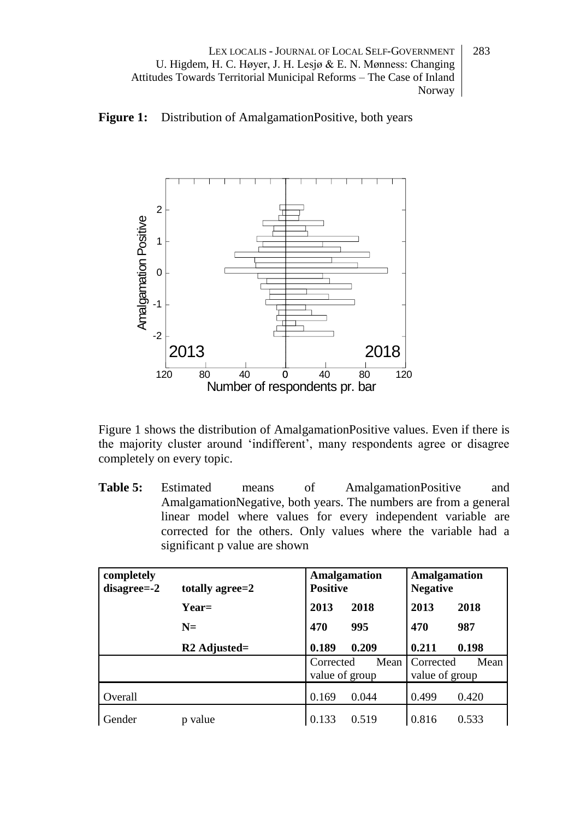



Figure 1 shows the distribution of AmalgamationPositive values. Even if there is the majority cluster around 'indifferent', many respondents agree or disagree completely on every topic.

**Table 5:** Estimated means of AmalgamationPositive and AmalgamationNegative, both years. The numbers are from a general linear model where values for every independent variable are corrected for the others. Only values where the variable had a significant p value are shown

| completely<br>$disagree = -2$ | totally agree=2 | <b>Amalgamation</b><br><b>Positive</b> |       | <b>Amalgamation</b><br><b>Negative</b> |       |
|-------------------------------|-----------------|----------------------------------------|-------|----------------------------------------|-------|
|                               | $Year=$         | 2013                                   | 2018  | 2013                                   | 2018  |
|                               | $N =$           | 470                                    | 995   | 470                                    | 987   |
|                               | $R2$ Adjusted=  | 0.189                                  | 0.209 | 0.211                                  | 0.198 |
|                               |                 | Corrected<br>value of group            | Mean  | Corrected<br>value of group            | Mean  |
| Overall                       |                 | 0.169                                  | 0.044 | 0.499                                  | 0.420 |
| Gender                        | value           | 0.133                                  | 0.519 | 0.816                                  | 0.533 |

283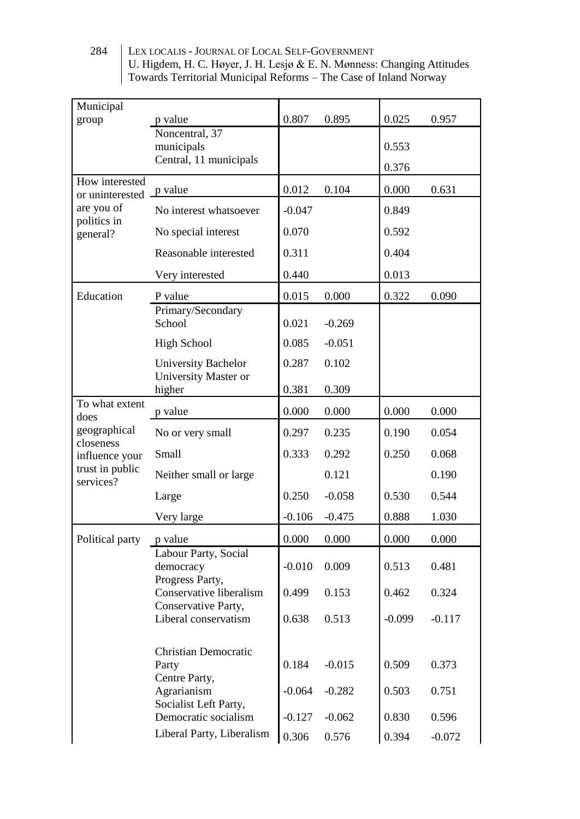| Municipal                      |                                                                   |          |          |          |          |
|--------------------------------|-------------------------------------------------------------------|----------|----------|----------|----------|
| group                          | p value                                                           | 0.807    | 0.895    | 0.025    | 0.957    |
|                                | Noncentral, 37<br>municipals                                      |          |          | 0.553    |          |
|                                | Central, 11 municipals                                            |          |          |          |          |
| How interested                 |                                                                   |          |          | 0.376    |          |
| or uninterested <u>P value</u> |                                                                   | 0.012    | 0.104    | 0.000    | 0.631    |
| are you of<br>politics in      | No interest whatsoever                                            | $-0.047$ |          | 0.849    |          |
| general?                       | No special interest                                               | 0.070    |          | 0.592    |          |
|                                | Reasonable interested                                             | 0.311    |          | 0.404    |          |
|                                | Very interested                                                   | 0.440    |          | 0.013    |          |
| Education                      | P value                                                           | 0.015    | 0.000    | 0.322    | 0.090    |
|                                | Primary/Secondary<br>School                                       | 0.021    | $-0.269$ |          |          |
|                                | <b>High School</b>                                                | 0.085    | $-0.051$ |          |          |
|                                | <b>University Bachelor</b><br>University Master or                | 0.287    | 0.102    |          |          |
|                                | higher                                                            | 0.381    | 0.309    |          |          |
| To what extent<br>does         | p value                                                           | 0.000    | 0.000    | 0.000    | 0.000    |
| geographical<br>closeness      | No or very small                                                  | 0.297    | 0.235    | 0.190    | 0.054    |
| influence your                 | Small                                                             | 0.333    | 0.292    | 0.250    | 0.068    |
| trust in public<br>services?   | Neither small or large                                            |          | 0.121    |          | 0.190    |
|                                | Large                                                             | 0.250    | $-0.058$ | 0.530    | 0.544    |
|                                | Very large                                                        | $-0.106$ | $-0.475$ | 0.888    | 1.030    |
| Political party                | p value                                                           | 0.000    | 0.000    | 0.000    | 0.000    |
|                                | Labour Party, Social<br>democracy                                 | $-0.010$ | 0.009    | 0.513    | 0.481    |
|                                | Progress Party,<br>Conservative liberalism<br>Conservative Party, | 0.499    | 0.153    | 0.462    | 0.324    |
|                                | Liberal conservatism                                              | 0.638    | 0.513    | $-0.099$ | $-0.117$ |
|                                | Christian Democratic<br>Party                                     | 0.184    | $-0.015$ | 0.509    | 0.373    |
|                                | Centre Party,<br>Agrarianism<br>Socialist Left Party,             | $-0.064$ | $-0.282$ | 0.503    | 0.751    |
|                                | Democratic socialism                                              | $-0.127$ | $-0.062$ | 0.830    | 0.596    |
|                                | Liberal Party, Liberalism                                         | 0.306    | 0.576    | 0.394    | $-0.072$ |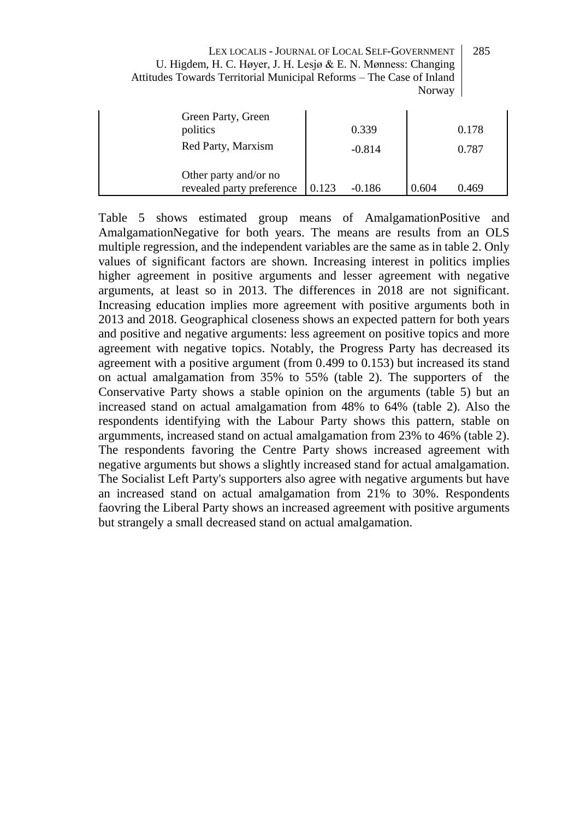| LEX LOCALIS - JOURNAL OF LOCAL SELF-GOVERNMENT                       | 285 |
|----------------------------------------------------------------------|-----|
| U. Higdem, H. C. Høyer, J. H. Lesjø & E. N. Mønness: Changing        |     |
| Attitudes Towards Territorial Municipal Reforms – The Case of Inland |     |
| Norway                                                               |     |

| Green Party, Green<br>politics<br>Red Party, Marxism |       | 0.339<br>$-0.814$ |       | 0.178<br>0.787 |
|------------------------------------------------------|-------|-------------------|-------|----------------|
| Other party and/or no<br>revealed party preference   | 0.123 | $-0.186$          | 0.604 | 0.469          |

Table 5 shows estimated group means of AmalgamationPositive and AmalgamationNegative for both years. The means are results from an OLS multiple regression, and the independent variables are the same as in table 2. Only values of significant factors are shown. Increasing interest in politics implies higher agreement in positive arguments and lesser agreement with negative arguments, at least so in 2013. The differences in 2018 are not significant. Increasing education implies more agreement with positive arguments both in 2013 and 2018. Geographical closeness shows an expected pattern for both years and positive and negative arguments: less agreement on positive topics and more agreement with negative topics. Notably, the Progress Party has decreased its agreement with a positive argument (from 0.499 to 0.153) but increased its stand on actual amalgamation from 35% to 55% (table 2). The supporters of the Conservative Party shows a stable opinion on the arguments (table 5) but an increased stand on actual amalgamation from 48% to 64% (table 2). Also the respondents identifying with the Labour Party shows this pattern, stable on argumments, increased stand on actual amalgamation from 23% to 46% (table 2). The respondents favoring the Centre Party shows increased agreement with negative arguments but shows a slightly increased stand for actual amalgamation. The Socialist Left Party's supporters also agree with negative arguments but have an increased stand on actual amalgamation from 21% to 30%. Respondents faovring the Liberal Party shows an increased agreement with positive arguments but strangely a small decreased stand on actual amalgamation.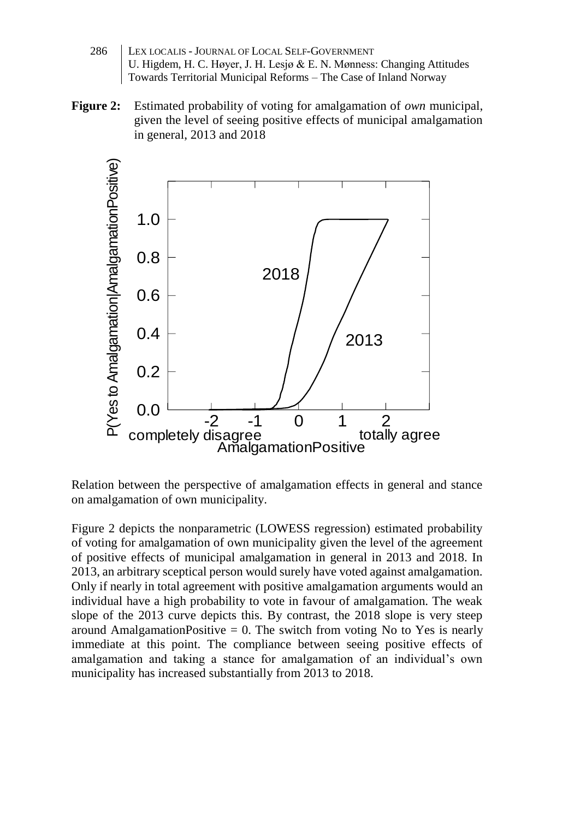- 286 | LEX LOCALIS JOURNAL OF LOCAL SELF-GOVERNMENT U. Higdem, H. C. Høyer, J. H. Lesjø & E. N. Mønness: Changing Attitudes Towards Territorial Municipal Reforms – The Case of Inland Norway
- **Figure 2:** Estimated probability of voting for amalgamation of *own* municipal, given the level of seeing positive effects of municipal amalgamation in general, 2013 and 2018



Relation between the perspective of amalgamation effects in general and stance on amalgamation of own municipality.

Figure 2 depicts the nonparametric (LOWESS regression) estimated probability of voting for amalgamation of own municipality given the level of the agreement of positive effects of municipal amalgamation in general in 2013 and 2018. In 2013, an arbitrary sceptical person would surely have voted against amalgamation. Only if nearly in total agreement with positive amalgamation arguments would an individual have a high probability to vote in favour of amalgamation. The weak slope of the 2013 curve depicts this. By contrast, the 2018 slope is very steep around AmalgamationPositive  $= 0$ . The switch from voting No to Yes is nearly immediate at this point. The compliance between seeing positive effects of amalgamation and taking a stance for amalgamation of an individual's own municipality has increased substantially from 2013 to 2018.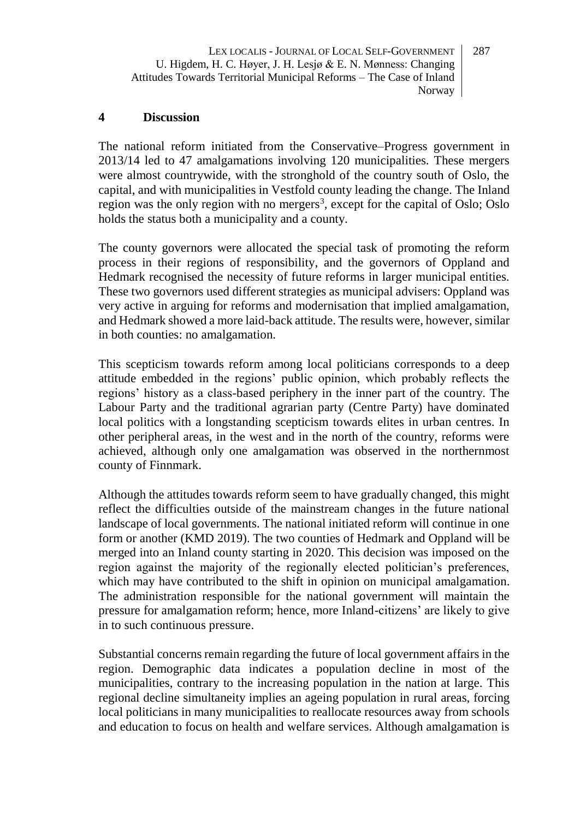#### **4 Discussion**

The national reform initiated from the Conservative–Progress government in 2013/14 led to 47 amalgamations involving 120 municipalities. These mergers were almost countrywide, with the stronghold of the country south of Oslo, the capital, and with municipalities in Vestfold county leading the change. The Inland region was the only region with no mergers<sup>3</sup>, except for the capital of Oslo; Oslo holds the status both a municipality and a county.

The county governors were allocated the special task of promoting the reform process in their regions of responsibility, and the governors of Oppland and Hedmark recognised the necessity of future reforms in larger municipal entities. These two governors used different strategies as municipal advisers: Oppland was very active in arguing for reforms and modernisation that implied amalgamation, and Hedmark showed a more laid-back attitude. The results were, however, similar in both counties: no amalgamation.

This scepticism towards reform among local politicians corresponds to a deep attitude embedded in the regions' public opinion, which probably reflects the regions' history as a class-based periphery in the inner part of the country. The Labour Party and the traditional agrarian party (Centre Party) have dominated local politics with a longstanding scepticism towards elites in urban centres. In other peripheral areas, in the west and in the north of the country, reforms were achieved, although only one amalgamation was observed in the northernmost county of Finnmark.

Although the attitudes towards reform seem to have gradually changed, this might reflect the difficulties outside of the mainstream changes in the future national landscape of local governments. The national initiated reform will continue in one form or another (KMD 2019). The two counties of Hedmark and Oppland will be merged into an Inland county starting in 2020. This decision was imposed on the region against the majority of the regionally elected politician's preferences, which may have contributed to the shift in opinion on municipal amalgamation. The administration responsible for the national government will maintain the pressure for amalgamation reform; hence, more Inland-citizens' are likely to give in to such continuous pressure.

Substantial concerns remain regarding the future of local government affairs in the region. Demographic data indicates a population decline in most of the municipalities, contrary to the increasing population in the nation at large. This regional decline simultaneity implies an ageing population in rural areas, forcing local politicians in many municipalities to reallocate resources away from schools and education to focus on health and welfare services. Although amalgamation is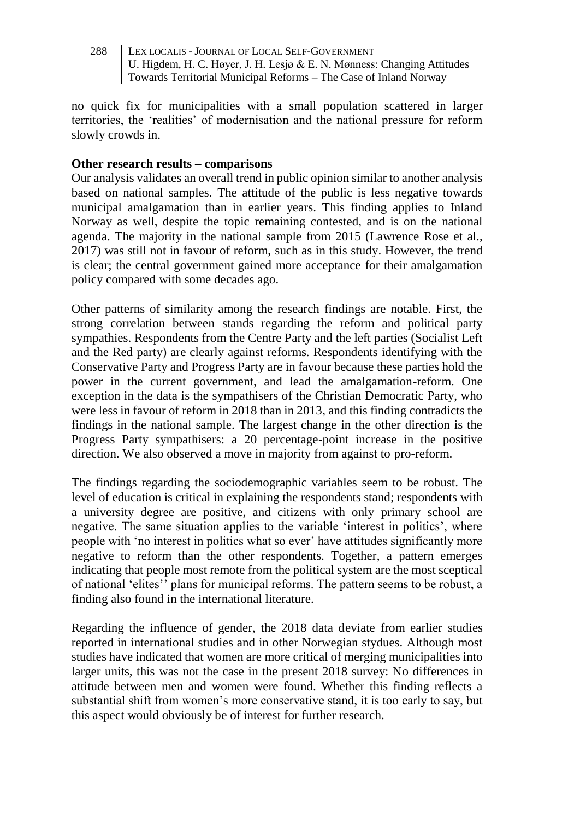no quick fix for municipalities with a small population scattered in larger territories, the 'realities' of modernisation and the national pressure for reform slowly crowds in.

#### **Other research results – comparisons**

Our analysis validates an overall trend in public opinion similar to another analysis based on national samples. The attitude of the public is less negative towards municipal amalgamation than in earlier years. This finding applies to Inland Norway as well, despite the topic remaining contested, and is on the national agenda. The majority in the national sample from 2015 (Lawrence Rose et al., 2017) was still not in favour of reform, such as in this study. However, the trend is clear; the central government gained more acceptance for their amalgamation policy compared with some decades ago.

Other patterns of similarity among the research findings are notable. First, the strong correlation between stands regarding the reform and political party sympathies. Respondents from the Centre Party and the left parties (Socialist Left and the Red party) are clearly against reforms. Respondents identifying with the Conservative Party and Progress Party are in favour because these parties hold the power in the current government, and lead the amalgamation-reform. One exception in the data is the sympathisers of the Christian Democratic Party, who were less in favour of reform in 2018 than in 2013, and this finding contradicts the findings in the national sample. The largest change in the other direction is the Progress Party sympathisers: a 20 percentage-point increase in the positive direction. We also observed a move in majority from against to pro-reform.

The findings regarding the sociodemographic variables seem to be robust. The level of education is critical in explaining the respondents stand; respondents with a university degree are positive, and citizens with only primary school are negative. The same situation applies to the variable 'interest in politics', where people with 'no interest in politics what so ever' have attitudes significantly more negative to reform than the other respondents. Together, a pattern emerges indicating that people most remote from the political system are the most sceptical of national 'elites'' plans for municipal reforms. The pattern seems to be robust, a finding also found in the international literature.

Regarding the influence of gender, the 2018 data deviate from earlier studies reported in international studies and in other Norwegian stydues. Although most studies have indicated that women are more critical of merging municipalities into larger units, this was not the case in the present 2018 survey: No differences in attitude between men and women were found. Whether this finding reflects a substantial shift from women's more conservative stand, it is too early to say, but this aspect would obviously be of interest for further research.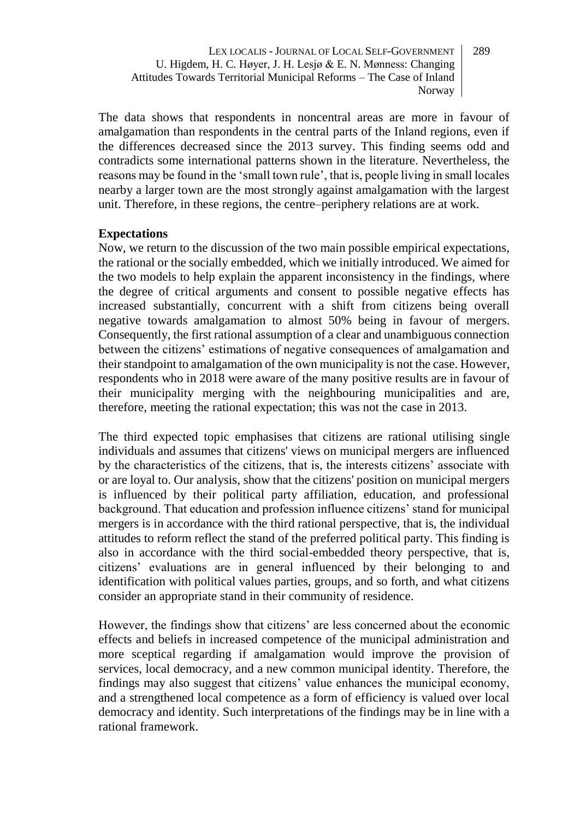The data shows that respondents in noncentral areas are more in favour of amalgamation than respondents in the central parts of the Inland regions, even if the differences decreased since the 2013 survey. This finding seems odd and contradicts some international patterns shown in the literature. Nevertheless, the reasons may be found in the 'small town rule', that is, people living in small locales nearby a larger town are the most strongly against amalgamation with the largest unit. Therefore, in these regions, the centre–periphery relations are at work.

#### **Expectations**

Now, we return to the discussion of the two main possible empirical expectations, the rational or the socially embedded, which we initially introduced. We aimed for the two models to help explain the apparent inconsistency in the findings, where the degree of critical arguments and consent to possible negative effects has increased substantially, concurrent with a shift from citizens being overall negative towards amalgamation to almost 50% being in favour of mergers. Consequently, the first rational assumption of a clear and unambiguous connection between the citizens' estimations of negative consequences of amalgamation and their standpoint to amalgamation of the own municipality is not the case. However, respondents who in 2018 were aware of the many positive results are in favour of their municipality merging with the neighbouring municipalities and are, therefore, meeting the rational expectation; this was not the case in 2013.

The third expected topic emphasises that citizens are rational utilising single individuals and assumes that citizens' views on municipal mergers are influenced by the characteristics of the citizens, that is, the interests citizens' associate with or are loyal to. Our analysis, show that the citizens' position on municipal mergers is influenced by their political party affiliation, education, and professional background. That education and profession influence citizens' stand for municipal mergers is in accordance with the third rational perspective, that is, the individual attitudes to reform reflect the stand of the preferred political party. This finding is also in accordance with the third social-embedded theory perspective, that is, citizens' evaluations are in general influenced by their belonging to and identification with political values parties, groups, and so forth, and what citizens consider an appropriate stand in their community of residence.

However, the findings show that citizens' are less concerned about the economic effects and beliefs in increased competence of the municipal administration and more sceptical regarding if amalgamation would improve the provision of services, local democracy, and a new common municipal identity. Therefore, the findings may also suggest that citizens' value enhances the municipal economy, and a strengthened local competence as a form of efficiency is valued over local democracy and identity. Such interpretations of the findings may be in line with a rational framework.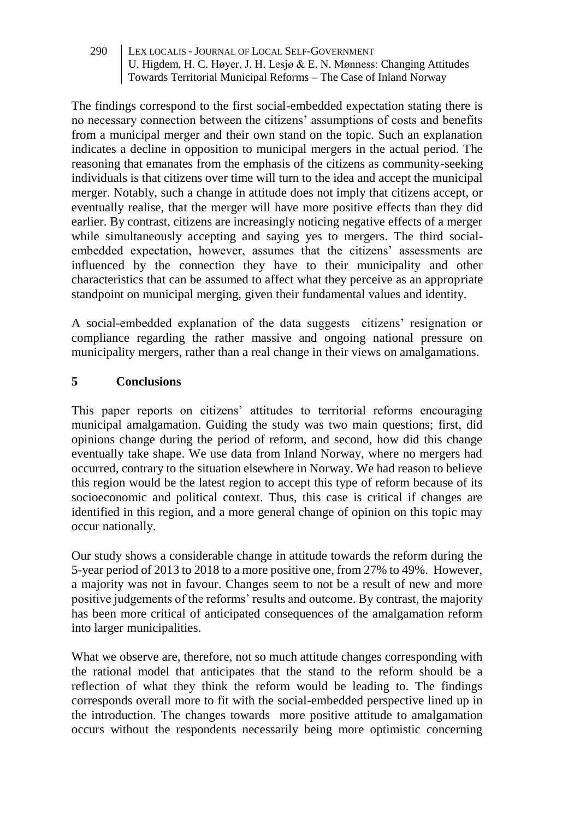The findings correspond to the first social-embedded expectation stating there is no necessary connection between the citizens' assumptions of costs and benefits from a municipal merger and their own stand on the topic. Such an explanation indicates a decline in opposition to municipal mergers in the actual period. The reasoning that emanates from the emphasis of the citizens as community-seeking individuals is that citizens over time will turn to the idea and accept the municipal merger. Notably, such a change in attitude does not imply that citizens accept, or eventually realise, that the merger will have more positive effects than they did earlier. By contrast, citizens are increasingly noticing negative effects of a merger while simultaneously accepting and saying yes to mergers. The third socialembedded expectation, however, assumes that the citizens' assessments are influenced by the connection they have to their municipality and other characteristics that can be assumed to affect what they perceive as an appropriate standpoint on municipal merging, given their fundamental values and identity.

A social-embedded explanation of the data suggests citizens' resignation or compliance regarding the rather massive and ongoing national pressure on municipality mergers, rather than a real change in their views on amalgamations.

#### **5 Conclusions**

This paper reports on citizens' attitudes to territorial reforms encouraging municipal amalgamation. Guiding the study was two main questions; first, did opinions change during the period of reform, and second, how did this change eventually take shape. We use data from Inland Norway, where no mergers had occurred, contrary to the situation elsewhere in Norway. We had reason to believe this region would be the latest region to accept this type of reform because of its socioeconomic and political context. Thus, this case is critical if changes are identified in this region, and a more general change of opinion on this topic may occur nationally.

Our study shows a considerable change in attitude towards the reform during the 5-year period of 2013 to 2018 to a more positive one, from 27% to 49%. However, a majority was not in favour. Changes seem to not be a result of new and more positive judgements of the reforms' results and outcome. By contrast, the majority has been more critical of anticipated consequences of the amalgamation reform into larger municipalities.

What we observe are, therefore, not so much attitude changes corresponding with the rational model that anticipates that the stand to the reform should be a reflection of what they think the reform would be leading to. The findings corresponds overall more to fit with the social-embedded perspective lined up in the introduction. The changes towards more positive attitude to amalgamation occurs without the respondents necessarily being more optimistic concerning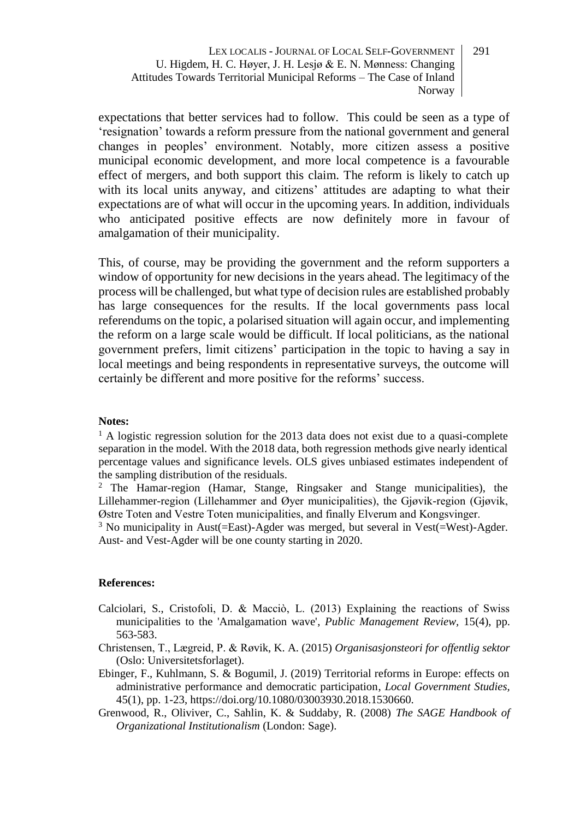expectations that better services had to follow. This could be seen as a type of 'resignation' towards a reform pressure from the national government and general changes in peoples' environment. Notably, more citizen assess a positive municipal economic development, and more local competence is a favourable effect of mergers, and both support this claim. The reform is likely to catch up with its local units anyway, and citizens' attitudes are adapting to what their expectations are of what will occur in the upcoming years. In addition, individuals who anticipated positive effects are now definitely more in favour of amalgamation of their municipality.

This, of course, may be providing the government and the reform supporters a window of opportunity for new decisions in the years ahead. The legitimacy of the process will be challenged, but what type of decision rules are established probably has large consequences for the results. If the local governments pass local referendums on the topic, a polarised situation will again occur, and implementing the reform on a large scale would be difficult. If local politicians, as the national government prefers, limit citizens' participation in the topic to having a say in local meetings and being respondents in representative surveys, the outcome will certainly be different and more positive for the reforms' success.

#### **Notes:**

 $<sup>1</sup>$  A logistic regression solution for the 2013 data does not exist due to a quasi-complete</sup> separation in the model. With the 2018 data, both regression methods give nearly identical percentage values and significance levels. OLS gives unbiased estimates independent of the sampling distribution of the residuals.

<sup>2</sup> The Hamar-region (Hamar, Stange, Ringsaker and Stange municipalities), the Lillehammer-region (Lillehammer and Øyer municipalities), the Gjøvik-region (Gjøvik, Østre Toten and Vestre Toten municipalities, and finally Elverum and Kongsvinger.

<sup>3</sup> No municipality in Aust(=East)-Agder was merged, but several in Vest(=West)-Agder. Aust- and Vest-Agder will be one county starting in 2020.

#### **References:**

- Calciolari, S., Cristofoli, D. & Macciò, L. (2013) Explaining the reactions of Swiss municipalities to the 'Amalgamation wave', *Public Management Review,* 15(4), pp. 563-583.
- Christensen, T., Lægreid, P. & Røvik, K. A. (2015) *Organisasjonsteori for offentlig sektor*  (Oslo: Universitetsforlaget).
- Ebinger, F., Kuhlmann, S. & Bogumil, J. (2019) Territorial reforms in Europe: effects on administrative performance and democratic participation, *Local Government Studies,*  45(1), pp. 1-23, https://doi.org/10.1080/03003930.2018.1530660.
- Grenwood, R., Oliviver, C., Sahlin, K. & Suddaby, R. (2008) *The SAGE Handbook of Organizational Institutionalism* (London: Sage).